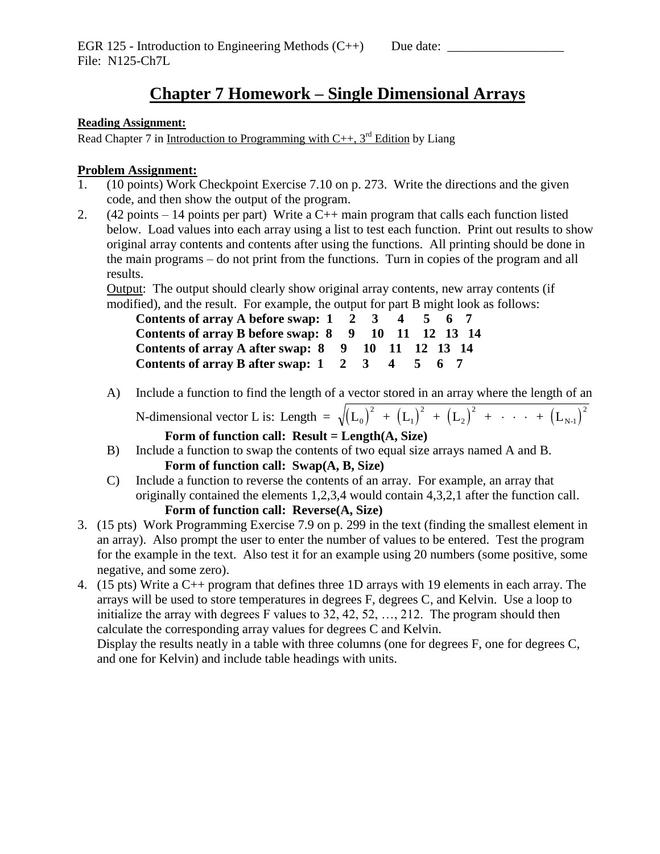## **Chapter 7 Homework – Single Dimensional Arrays**

## **Reading Assignment:**

Read Chapter 7 in Introduction to Programming with  $C_{++}$ , 3<sup>rd</sup> Edition by Liang

## **Problem Assignment:**

- 1. (10 points) Work Checkpoint Exercise 7.10 on p. 273. Write the directions and the given code, and then show the output of the program.
- 2.  $(42 \text{ points} 14 \text{ points per part})$  Write a C++ main program that calls each function listed below. Load values into each array using a list to test each function. Print out results to show original array contents and contents after using the functions. All printing should be done in the main programs – do not print from the functions. Turn in copies of the program and all results.

Output: The output should clearly show original array contents, new array contents (if modified), and the result. For example, the output for part B might look as follows:

| Contents of array A before swap: 1 2 3 4 5 6 7                                      |  |  |  |
|-------------------------------------------------------------------------------------|--|--|--|
| Contents of array B before swap: 8 9 10 11 12 13 14                                 |  |  |  |
| Contents of array A after swap: 8 9 10 11 12 13 14                                  |  |  |  |
| Contents of array B after swap: $1 \quad 2 \quad 3 \quad 4 \quad 5 \quad 6 \quad 7$ |  |  |  |

A) Include a function to find the length of a vector stored in an array where the length of an

N-dimensional vector L is: Length =  $\sqrt{\left(L_{0}\right)^{2} + \left(L_{1}\right)^{2} + \left(L_{2}\right)^{2} + \cdots + \left(L_{N-1}\right)^{2}}$ 1 2 2 2  $\cdots$  +  $\mathcal{L}_{N-1}$ **Form of function call: Result = Length(A, Size)**

2

- B) Include a function to swap the contents of two equal size arrays named A and B. **Form of function call: Swap(A, B, Size)**
- C) Include a function to reverse the contents of an array. For example, an array that originally contained the elements 1,2,3,4 would contain 4,3,2,1 after the function call. **Form of function call: Reverse(A, Size)**
- 3. (15 pts) Work Programming Exercise 7.9 on p. 299 in the text (finding the smallest element in an array). Also prompt the user to enter the number of values to be entered. Test the program for the example in the text. Also test it for an example using 20 numbers (some positive, some negative, and some zero).
- 4. (15 pts) Write a C++ program that defines three 1D arrays with 19 elements in each array. The arrays will be used to store temperatures in degrees F, degrees C, and Kelvin. Use a loop to initialize the array with degrees F values to 32, 42, 52, …, 212. The program should then calculate the corresponding array values for degrees C and Kelvin. Display the results neatly in a table with three columns (one for degrees F, one for degrees C, and one for Kelvin) and include table headings with units.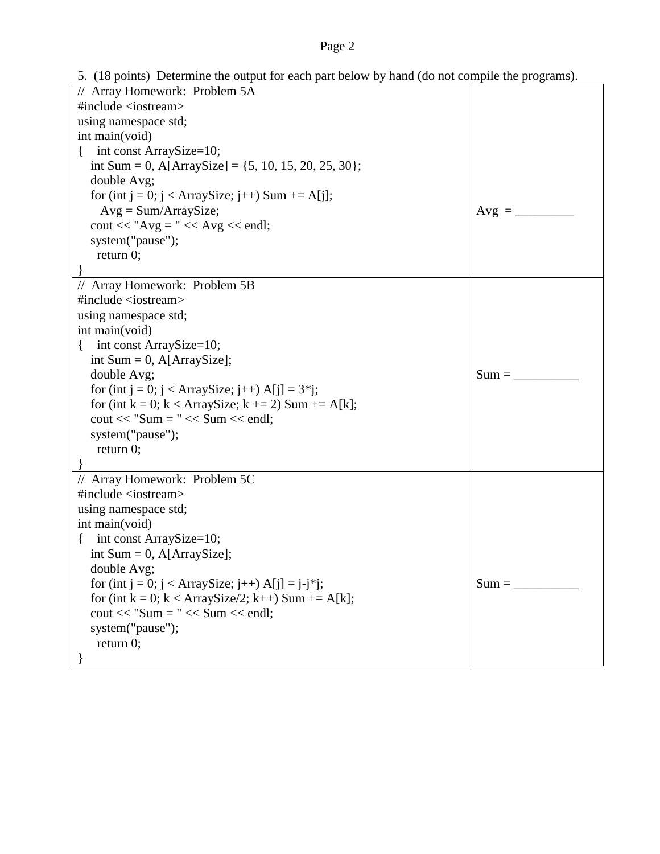## Page 2

5. (18 points) Determine the output for each part below by hand (do not compile the programs).

| // Array Homework: Problem 5A                                           |         |
|-------------------------------------------------------------------------|---------|
| #include <iostream></iostream>                                          |         |
| using namespace std;                                                    |         |
| int main(void)                                                          |         |
| int const ArraySize=10;<br>$\{$                                         |         |
| int Sum = 0, A[ArraySize] = $\{5, 10, 15, 20, 25, 30\}$ ;               |         |
| double Avg;                                                             |         |
| for (int j = 0; j < ArraySize; j++) Sum += A[j];                        |         |
| $Avg = Sum/ArraySize;$                                                  | $Avg =$ |
| $\text{cout} \ll \text{"Avg} = \text{"} \ll \text{Avg} \ll \text{end};$ |         |
| system("pause");                                                        |         |
| return $0$ ;                                                            |         |
|                                                                         |         |
| // Array Homework: Problem 5B                                           |         |
| #include <iostream></iostream>                                          |         |
| using namespace std;                                                    |         |
| int main(void)                                                          |         |
| int const ArraySize=10;<br>$\left\{ \right.$                            |         |
| int Sum = 0, $A[ArraySize]$ ;                                           |         |
| double Avg;                                                             | $Sum =$ |
| for (int j = 0; j < ArraySize; j++) A[j] = $3$ *j;                      |         |
| for (int k = 0; k < ArraySize; k += 2) Sum += $A[k]$ ;                  |         |
| $\text{cout} \ll \text{"Sum} = \text{"} \ll \text{Sum} \ll \text{end}$  |         |
| system("pause");                                                        |         |
| return $0$ ;                                                            |         |
|                                                                         |         |
| // Array Homework: Problem 5C                                           |         |
| #include <iostream></iostream>                                          |         |
| using namespace std;                                                    |         |
| int main(void)                                                          |         |
| int const ArraySize=10;<br>$\left\{ \right.$                            |         |
| int Sum = 0, $A[ArraySize]$ ;                                           |         |
| double Avg;                                                             |         |
| for (int j = 0; j < ArraySize; j++) A[j] = j-j*j;                       |         |
| for (int k = 0; k < ArraySize/2; k++) Sum += A[k];                      |         |
| $\text{cout} \ll \text{"Sum} = \text{"} \ll \text{Sum} \ll \text{end}$  |         |
| system("pause");                                                        |         |
| return $0$ ;                                                            |         |
|                                                                         |         |